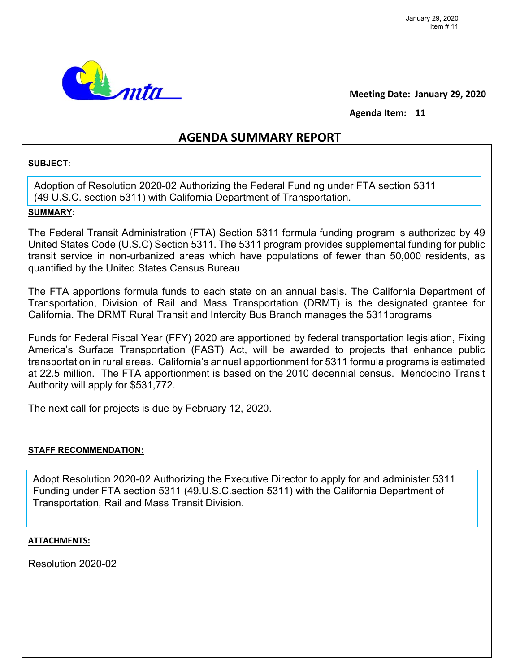

**Meeting Date: January 29, 2020** 

Agenda Item: 11

## **AGENDA SUMMARY REPORT**

#### **SUBJECT:**

Adoption of Resolution 2020-02 Authorizing the Federal Funding under FTA section 5311 (49 U.S.C. section 5311) with California Department of Transportation.

### **SUMMARY:**

The Federal Transit Administration (FTA) Section 5311 formula funding program is authorized by 49 United States Code (U.S.C) Section 5311. The 5311 program provides supplemental funding for public transit service in non-urbanized areas which have populations of fewer than 50,000 residents, as quantified by the United States Census Bureau

The FTA apportions formula funds to each state on an annual basis. The California Department of Transportation, Division of Rail and Mass Transportation (DRMT) is the designated grantee for California. The DRMT Rural Transit and Intercity Bus Branch manages the 5311programs

Funds for Federal Fiscal Year (FFY) 2020 are apportioned by federal transportation legislation, Fixing America's Surface Transportation (FAST) Act, will be awarded to projects that enhance public transportation in rural areas. California's annual apportionment for 5311 formula programs is estimated at 22.5 million. The FTA apportionment is based on the 2010 decennial census. Mendocino Transit Authority will apply for \$531,772.

The next call for projects is due by February 12, 2020.

#### **STAFF RECOMMENDATION:**

Adopt Resolution 2020-02 Authorizing the Executive Director to apply for and administer 5311 Funding under FTA section 5311 (49.U.S.C.section 5311) with the California Department of Transportation, Rail and Mass Transit Division.

#### **ATTACHMENTS:**

Resolution 2020-02